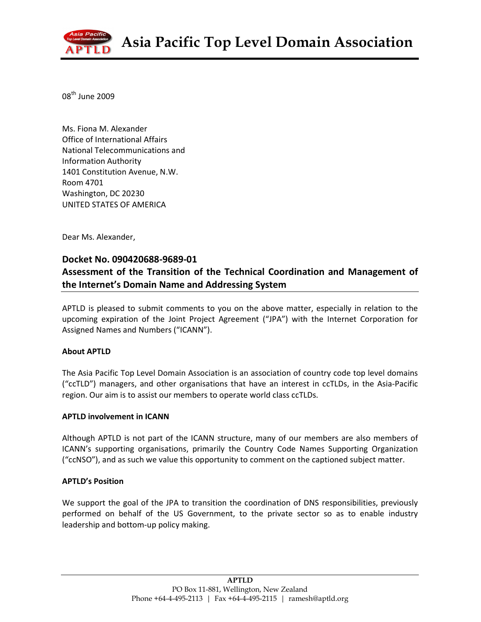

08th June 2009

Ms. Fiona M. Alexander Office of International Affairs National Telecommunications and Information Authority 1401 Constitution Avenue, N.W. Room 4701 Washington, DC 20230 UNITED STATES OF AMERICA

Dear Ms. Alexander,

## Docket No. 090420688-9689-01

# Assessment of the Transition of the Technical Coordination and Management of the Internet's Domain Name and Addressing System

APTLD is pleased to submit comments to you on the above matter, especially in relation to the upcoming expiration of the Joint Project Agreement ("JPA") with the Internet Corporation for Assigned Names and Numbers ("ICANN").

### About APTLD

The Asia Pacific Top Level Domain Association is an association of country code top level domains ("ccTLD") managers, and other organisations that have an interest in ccTLDs, in the Asia-Pacific region. Our aim is to assist our members to operate world class ccTLDs.

### APTLD involvement in ICANN

Although APTLD is not part of the ICANN structure, many of our members are also members of ICANN's supporting organisations, primarily the Country Code Names Supporting Organization ("ccNSO"), and as such we value this opportunity to comment on the captioned subject matter.

#### APTLD's Position

We support the goal of the JPA to transition the coordination of DNS responsibilities, previously performed on behalf of the US Government, to the private sector so as to enable industry leadership and bottom-up policy making.